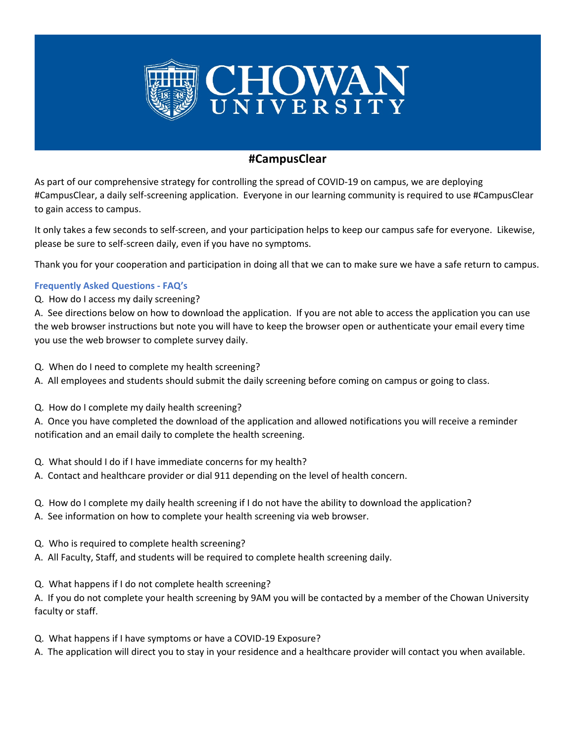

## **#CampusClear**

As part of our comprehensive strategy for controlling the spread of COVID-19 on campus, we are deploying #CampusClear, a daily self-screening application. Everyone in our learning community is required to use #CampusClear to gain access to campus.

It only takes a few seconds to self-screen, and your participation helps to keep our campus safe for everyone. Likewise, please be sure to self-screen daily, even if you have no symptoms.

Thank you for your cooperation and participation in doing all that we can to make sure we have a safe return to campus.

## **Frequently Asked Questions - FAQ's**

Q. How do I access my daily screening?

A. See directions below on how to download the application. If you are not able to access the application you can use the web browser instructions but note you will have to keep the browser open or authenticate your email every time you use the web browser to complete survey daily.

- Q. When do I need to complete my health screening?
- A. All employees and students should submit the daily screening before coming on campus or going to class.
- Q. How do I complete my daily health screening?

A. Once you have completed the download of the application and allowed notifications you will receive a reminder notification and an email daily to complete the health screening.

- Q. What should I do if I have immediate concerns for my health?
- A. Contact and healthcare provider or dial 911 depending on the level of health concern.
- Q. How do I complete my daily health screening if I do not have the ability to download the application?
- A. See information on how to complete your health screening via web browser.
- Q. Who is required to complete health screening?
- A. All Faculty, Staff, and students will be required to complete health screening daily.
- Q. What happens if I do not complete health screening?

A. If you do not complete your health screening by 9AM you will be contacted by a member of the Chowan University faculty or staff.

- Q. What happens if I have symptoms or have a COVID-19 Exposure?
- A. The application will direct you to stay in your residence and a healthcare provider will contact you when available.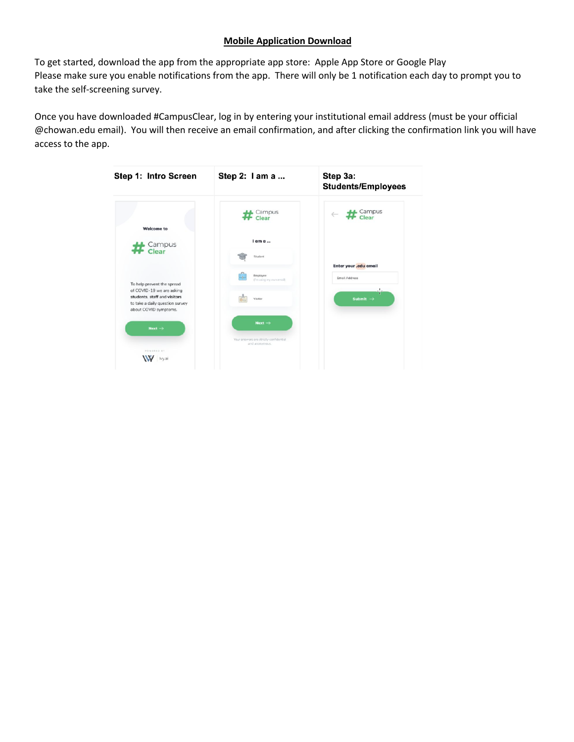## **Mobile Application Download**

To get started, download the app from the appropriate app store: Apple App Store or Google Play Please make sure you enable notifications from the app. There will only be 1 notification each day to prompt you to take the self-screening survey.

Once you have downloaded #CampusClear, log in by entering your institutional email address (must be your official @chowan.edu email). You will then receive an email confirmation, and after clicking the confirmation link you will have access to the app.